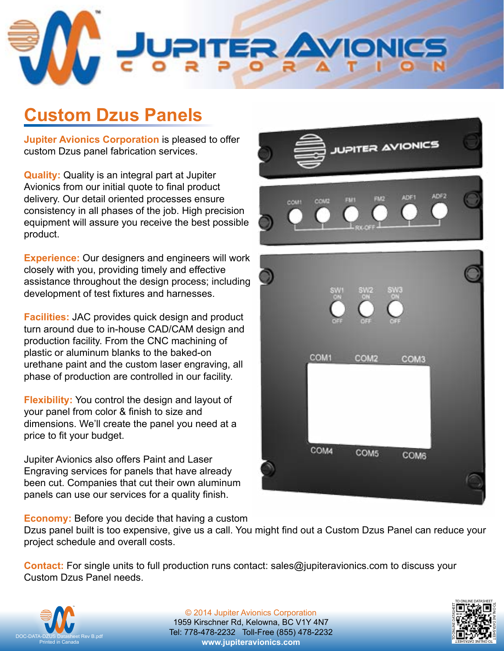

# **Custom Dzus Panels**

**Jupiter Avionics Corporation** is pleased to offer custom Dzus panel fabrication services.

**Quality:** Quality is an integral part at Jupiter Avionics from our initial quote to final product delivery. Our detail oriented processes ensure consistency in all phases of the job. High precision equipment will assure you receive the best possible product.

**Experience:** Our designers and engineers will work closely with you, providing timely and effective assistance throughout the design process; including development of test fixtures and harnesses.

**Facilities:** JAC provides quick design and product turn around due to in-house CAD/CAM design and production facility. From the CNC machining of plastic or aluminum blanks to the baked-on urethane paint and the custom laser engraving, all phase of production are controlled in our facility.

**Flexibility:** You control the design and layout of your panel from color & finish to size and dimensions. We'll create the panel you need at a price to fit your budget.

Jupiter Avionics also offers Paint and Laser Engraving services for panels that have already been cut. Companies that cut their own aluminum panels can use our services for a quality finish.

**Economy:** Before you decide that having a custom

Dzus panel built is too expensive, give us a call. You might find out a Custom Dzus Panel can reduce your project schedule and overall costs.

**Contact:** For single units to full production runs contact: [sales@jupiteravionics.com](mailto:sales%40jupiteravionics.com?subject=Custom%20Dzus%20Panels) to discuss your Custom Dzus Panel needs.



© 2014 Jupiter Avionics Corporation 1959 Kirschner Rd, Kelowna, BC V1Y 4N7 Tel: 778-478-2232 Toll-Free (855) 478-2232 **[www.jupiteravionics.com](http://www.jupiteravionics.com)**





**UPITER AVIONICS**